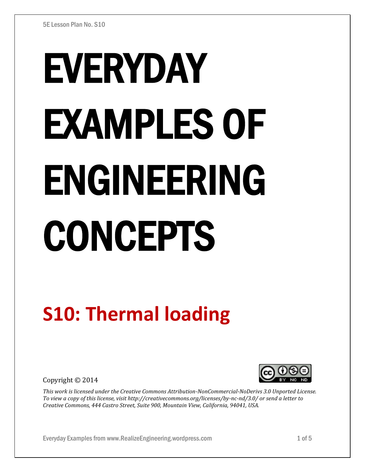# EVERYDAY EXAMPLES OF ENGINEERING CONCEPTS

## **S10: Thermal loading**

Copyright © 2014



*This work is licensed under the Creative Commons Attribution-NonCommercial-NoDerivs 3.0 Unported License. To view a copy of this license, visit http://creativecommons.org/licenses/by-nc-nd/3.0/ or send a letter to Creative Commons, 444 Castro Street, Suite 900, Mountain View, California, 94041, USA.*

Everyday Examples from www.RealizeEngineering.wordpress.com 1 of 5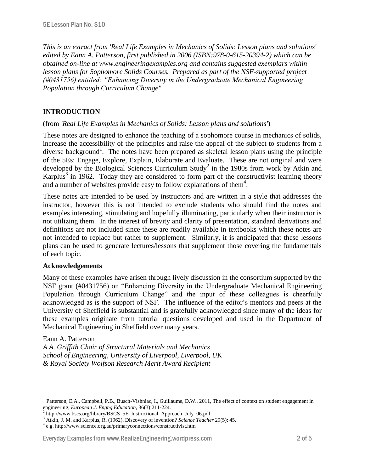*This is an extract from 'Real Life Examples in Mechanics of Solids: Lesson plans and solutions' edited by Eann A. Patterson, first published in 2006 (ISBN:978-0-615-20394-2) which can be obtained on-line at www.engineeringexamples.org and contains suggested exemplars within lesson plans for Sophomore Solids Courses. Prepared as part of the NSF-supported project (#0431756) entitled: "Enhancing Diversity in the Undergraduate Mechanical Engineering Population through Curriculum Change".* 

#### **INTRODUCTION**

#### (from *'Real Life Examples in Mechanics of Solids: Lesson plans and solutions'*)

These notes are designed to enhance the teaching of a sophomore course in mechanics of solids, increase the accessibility of the principles and raise the appeal of the subject to students from a diverse background<sup>1</sup>. The notes have been prepared as skeletal lesson plans using the principle of the 5Es: Engage, Explore, Explain, Elaborate and Evaluate. These are not original and were developed by the Biological Sciences Curriculum Study<sup>2</sup> in the 1980s from work by Atkin and Karplus<sup>3</sup> in 1962. Today they are considered to form part of the constructivist learning theory and a number of websites provide easy to follow explanations of them<sup>4</sup>.

These notes are intended to be used by instructors and are written in a style that addresses the instructor, however this is not intended to exclude students who should find the notes and examples interesting, stimulating and hopefully illuminating, particularly when their instructor is not utilizing them. In the interest of brevity and clarity of presentation, standard derivations and definitions are not included since these are readily available in textbooks which these notes are not intended to replace but rather to supplement. Similarly, it is anticipated that these lessons plans can be used to generate lectures/lessons that supplement those covering the fundamentals of each topic.

#### **Acknowledgements**

Many of these examples have arisen through lively discussion in the consortium supported by the NSF grant (#0431756) on "Enhancing Diversity in the Undergraduate Mechanical Engineering Population through Curriculum Change" and the input of these colleagues is cheerfully acknowledged as is the support of NSF. The influence of the editor's mentors and peers at the University of Sheffield is substantial and is gratefully acknowledged since many of the ideas for these examples originate from tutorial questions developed and used in the Department of Mechanical Engineering in Sheffield over many years.

#### Eann A. Patterson

 $\overline{a}$ 

*A.A. Griffith Chair of Structural Materials and Mechanics School of Engineering, University of Liverpool, Liverpool, UK & Royal Society Wolfson Research Merit Award Recipient*

#### Everyday Examples from www.RealizeEngineering.wordpress.com 2 of 5

<sup>1</sup> Patterson, E.A., Campbell, P.B., Busch-Vishniac, I., Guillaume, D.W., 2011, The effect of context on student engagement in engineering, *European J. Engng Education*, 36(3):211-224.

<sup>&</sup>lt;sup>2</sup> http://www.bscs.org/library/BSCS\_5E\_Instructional\_Approach\_July\_06.pdf

<sup>3</sup> Atkin, J. M. and Karplus, R. (1962). Discovery of invention? *Science Teacher* 29(5): 45.

<sup>4</sup> e.g. http://www.science.org.au/primaryconnections/constructivist.htm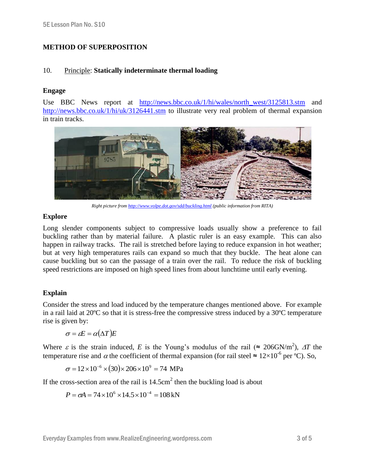### **METHOD OF SUPERPOSITION**

#### 10. Principle: **Statically indeterminate thermal loading**

#### **Engage**

Use BBC News report at [http://news.bbc.co.uk/1/hi/wales/north\\_west/3125813.stm](http://news.bbc.co.uk/1/hi/wales/north_west/3125813.stm) and <http://news.bbc.co.uk/1/hi/uk/3126441.stm> to illustrate very real problem of thermal expansion in train tracks.



*Right picture fro[m http://www.volpe.dot.gov/sdd/buckling.html](http://www.volpe.dot.gov/sdd/buckling.html) (public information from RITA)*

#### **Explore**

Long slender components subject to compressive loads usually show a preference to fail buckling rather than by material failure. A plastic ruler is an easy example. This can also happen in railway tracks. The rail is stretched before laying to reduce expansion in hot weather; but at very high temperatures rails can expand so much that they buckle. The heat alone can cause buckling but so can the passage of a train over the rail. To reduce the risk of buckling speed restrictions are imposed on high speed lines from about lunchtime until early evening.

#### **Explain**

Consider the stress and load induced by the temperature changes mentioned above. For example in a rail laid at 20ºC so that it is stress-free the compressive stress induced by a 30ºC temperature rise is given by:

$$
\sigma = \varepsilon E = \alpha(\Delta T)E
$$

Where  $\varepsilon$  is the strain induced, *E* is the Young's modulus of the rail ( $\approx 206$ GN/m<sup>2</sup>),  $\Delta T$  the temperature rise and  $\alpha$  the coefficient of thermal expansion (for rail steel  $\approx 12 \times 10^{-6}$  per °C). So,

$$
\sigma = 12 \times 10^{-6} \times (30) \times 206 \times 10^{9} = 74 \text{ MPa}
$$

If the cross-section area of the rail is  $14.5 \text{cm}^2$  then the buckling load is about

$$
P = \sigma A = 74 \times 10^6 \times 14.5 \times 10^{-4} = 108 \text{ kN}
$$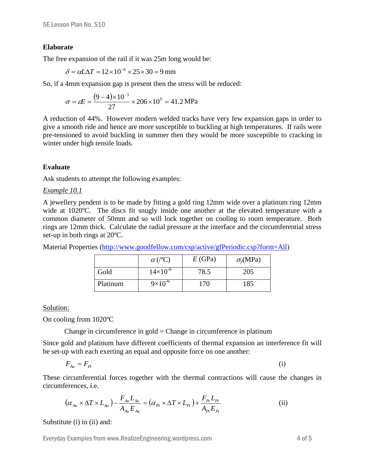#### **Elaborate**

The free expansion of the rail if it was 25m long would be:

$$
\delta = \alpha L \Delta T = 12 \times 10^{-6} \times 25 \times 30 = 9 \,\text{mm}
$$

So, if a 4mm expansion gap is present then the stress will be reduced:

$$
\sigma = \varepsilon E = \frac{(9-4) \times 10^{-3}}{27} \times 206 \times 10^{9} = 41.2 \text{ MPa}
$$

A reduction of 44%. However modern welded tracks have very few expansion gaps in order to give a smooth ride and hence are more susceptible to buckling at high temperatures. If rails were pre-tensioned to avoid buckling in summer then they would be more susceptible to cracking in winter under high tensile loads.

#### **Evaluate**

Ask students to attempt the following examples:

#### *Example 10.1*

A jewellery pendent is to be made by fitting a gold ring 12mm wide over a platinum ring 12mm wide at 1020°C. The discs fit snugly inside one another at the elevated temperature with a common diameter of 50mm and so will lock together on cooling to room temperature. Both rings are 12mm thick. Calculate the radial pressure at the interface and the circumferential stress set-up in both rings at 20ºC.

Material Properties [\(http://www.goodfellow.com/csp/active/gfPeriodic.csp?form=All\)](http://www.goodfellow.com/csp/active/gfPeriodic.csp?form=All)

|          | $\alpha$ (/°C)    | E(GPa) | $\sigma_{v}$ (MPa) |
|----------|-------------------|--------|--------------------|
| Gold     | $14\times10^{-6}$ | 78.5   | 205                |
| Platinum | $9\times10^{-6}$  | 170    | 185                |

Solution:

On cooling from 1020ºC

Change in circumference in gold  $=$  Change in circumference in platinum

Since gold and platinum have different coefficients of thermal expansion an interference fit will be set-up with each exerting an equal and opposite force on one another:

$$
F_{\scriptscriptstyle Au} = F_{\scriptscriptstyle Pt} \tag{i}
$$

These circumferential forces together with the thermal contractions will cause the changes in circumferences, i.e.

$$
\left(\alpha_{_{Au}} \times \Delta T \times L_{_{Au}}\right) - \frac{F_{_{Au}} L_{_{Au}}}{A_{_{Au}} E_{_{Au}}} = \left(\alpha_{_{Pt}} \times \Delta T \times L_{_{Pt}}\right) + \frac{F_{_{Pt}} L_{_{Pt}}}{A_{_{Pt}} E_{_{Pt}}}
$$
(ii)

Substitute (i) in (ii) and:

Everyday Examples from www.RealizeEngineering.wordpress.com 4 of 5